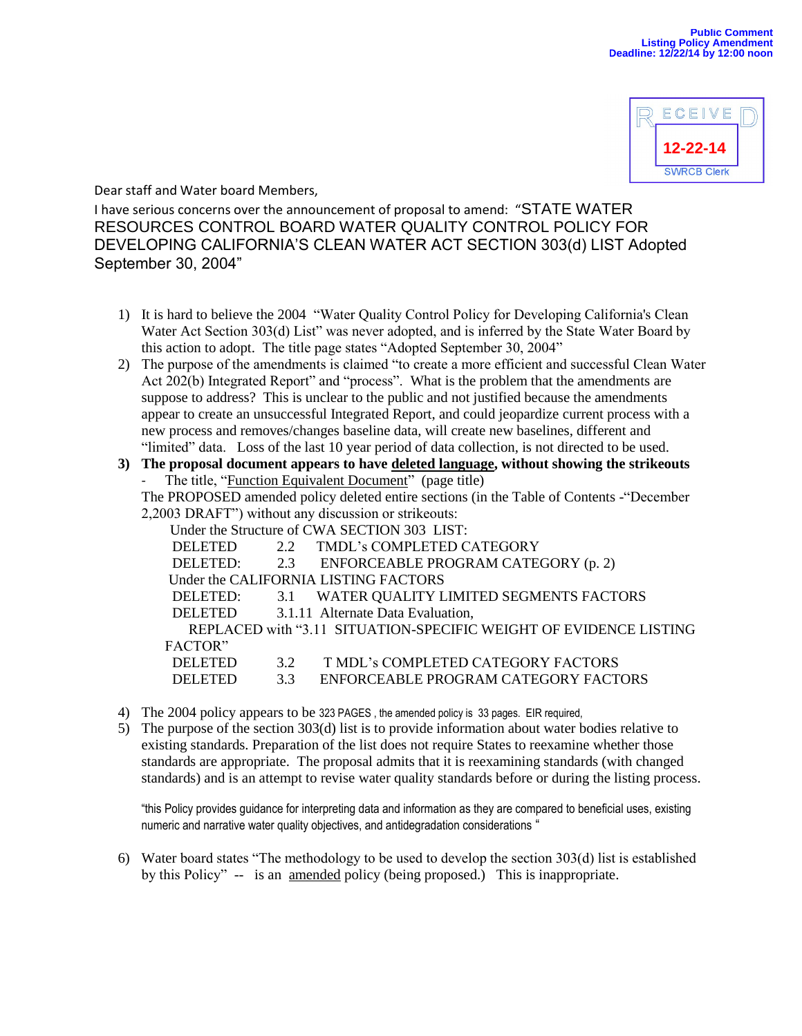

Dear staff and Water board Members,

I have serious concerns over the announcement of proposal to amend: "STATE WATER RESOURCES CONTROL BOARD WATER QUALITY CONTROL POLICY FOR DEVELOPING CALIFORNIA'S CLEAN WATER ACT SECTION 303(d) LIST Adopted September 30, 2004"

- 1) It is hard to believe the 2004 "Water Quality Control Policy for Developing California's Clean Water Act Section 303(d) List" was never adopted, and is inferred by the State Water Board by this action to adopt. The title page states "Adopted September 30, 2004"
- 2) The purpose of the amendments is claimed "to create a more efficient and successful Clean Water Act 202(b) Integrated Report" and "process". What is the problem that the amendments are suppose to address? This is unclear to the public and not justified because the amendments appear to create an unsuccessful Integrated Report, and could jeopardize current process with a new process and removes/changes baseline data, will create new baselines, different and "limited" data. Loss of the last 10 year period of data collection, is not directed to be used.

## **3) The proposal document appears to have deleted language, without showing the strikeouts** The title, "Function Equivalent Document" (page title)

The PROPOSED amended policy deleted entire sections (in the Table of Contents -"December 2,2003 DRAFT") without any discussion or strikeouts:

Under the Structure of CWA SECTION 303 LIST:

| UTHE THE DIFFICITE OF CAVITABLE FIGHT $\mathcal{Y}(J)$ . Expl.    |    |                                            |
|-------------------------------------------------------------------|----|--------------------------------------------|
| <b>DELETED</b>                                                    |    | 2.2 TMDL's COMPLETED CATEGORY              |
| <b>DELETED:</b>                                                   |    | 2.3 ENFORCEABLE PROGRAM CATEGORY (p. 2)    |
| Under the CALIFORNIA LISTING FACTORS                              |    |                                            |
| DELETED:                                                          |    | 3.1 WATER QUALITY LIMITED SEGMENTS FACTORS |
| <b>DELETED</b>                                                    |    | 3.1.11 Alternate Data Evaluation,          |
| REPLACED with "3.11 SITUATION-SPECIFIC WEIGHT OF EVIDENCE LISTING |    |                                            |
| FACTOR"                                                           |    |                                            |
| <b>DELETED</b>                                                    | 32 | T MDL's COMPLETED CATEGORY FACTORS         |
| <b>DELETED</b>                                                    | 33 | ENFORCEABLE PROGRAM CATEGORY FACTORS       |

- 4) The 2004 policy appears to be 323 PAGES , the amended policy is 33 pages. EIR required,
- 5) The purpose of the section 303(d) list is to provide information about water bodies relative to existing standards. Preparation of the list does not require States to reexamine whether those standards are appropriate. The proposal admits that it is reexamining standards (with changed standards) and is an attempt to revise water quality standards before or during the listing process.

"this Policy provides guidance for interpreting data and information as they are compared to beneficial uses, existing numeric and narrative water quality objectives, and antidegradation considerations "

6) Water board states "The methodology to be used to develop the section 303(d) list is established by this Policy" -- is an amended policy (being proposed.) This is inappropriate.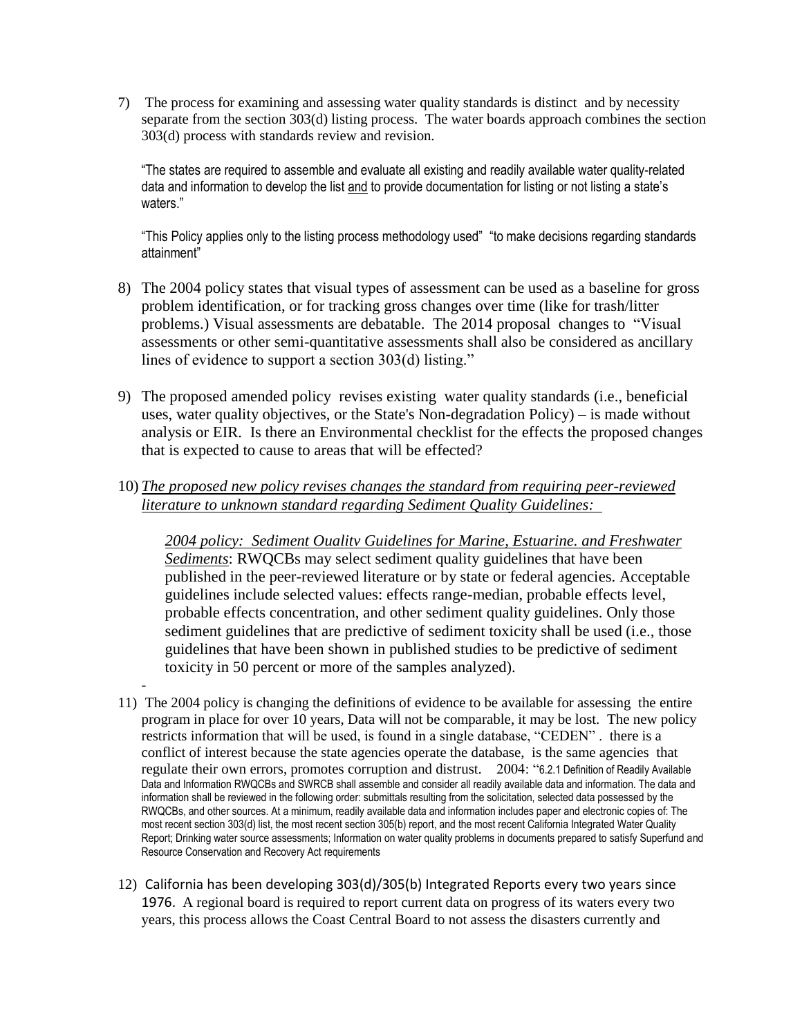7) The process for examining and assessing water quality standards is distinct and by necessity separate from the section 303(d) listing process. The water boards approach combines the section 303(d) process with standards review and revision.

"The states are required to assemble and evaluate all existing and readily available water quality-related data and information to develop the list and to provide documentation for listing or not listing a state's waters."

"This Policy applies only to the listing process methodology used" "to make decisions regarding standards attainment"

- 8) The 2004 policy states that visual types of assessment can be used as a baseline for gross problem identification, or for tracking gross changes over time (like for trash/litter problems.) Visual assessments are debatable. The 2014 proposal changes to "Visual assessments or other semi-quantitative assessments shall also be considered as ancillary lines of evidence to support a section 303(d) listing."
- 9) The proposed amended policy revises existing water quality standards (i.e., beneficial uses, water quality objectives, or the State's Non-degradation Policy) – is made without analysis or EIR. Is there an Environmental checklist for the effects the proposed changes that is expected to cause to areas that will be effected?
- 10) *The proposed new policy revises changes the standard from requiring peer-reviewed literature to unknown standard regarding Sediment Quality Guidelines:*

*2004 policy: Sediment Oualitv Guidelines for Marine, Estuarine. and Freshwater Sediments*: RWQCBs may select sediment quality guidelines that have been published in the peer-reviewed literature or by state or federal agencies. Acceptable guidelines include selected values: effects range-median, probable effects level, probable effects concentration, and other sediment quality guidelines. Only those sediment guidelines that are predictive of sediment toxicity shall be used (i.e., those guidelines that have been shown in published studies to be predictive of sediment toxicity in 50 percent or more of the samples analyzed).

- 11) The 2004 policy is changing the definitions of evidence to be available for assessing the entire program in place for over 10 years, Data will not be comparable, it may be lost. The new policy restricts information that will be used, is found in a single database, "CEDEN" . there is a conflict of interest because the state agencies operate the database, is the same agencies that regulate their own errors, promotes corruption and distrust. 2004: "6.2.1 Definition of Readily Available Data and Information RWQCBs and SWRCB shall assemble and consider all readily available data and information. The data and information shall be reviewed in the following order: submittals resulting from the solicitation, selected data possessed by the RWQCBs, and other sources. At a minimum, readily available data and information includes paper and electronic copies of: The most recent section 303(d) list, the most recent section 305(b) report, and the most recent California Integrated Water Quality Report; Drinking water source assessments; Information on water quality problems in documents prepared to satisfy Superfund and Resource Conservation and Recovery Act requirements
- 12) California has been developing 303(d)/305(b) Integrated Reports every two years since 1976. A regional board is required to report current data on progress of its waters every two years, this process allows the Coast Central Board to not assess the disasters currently and